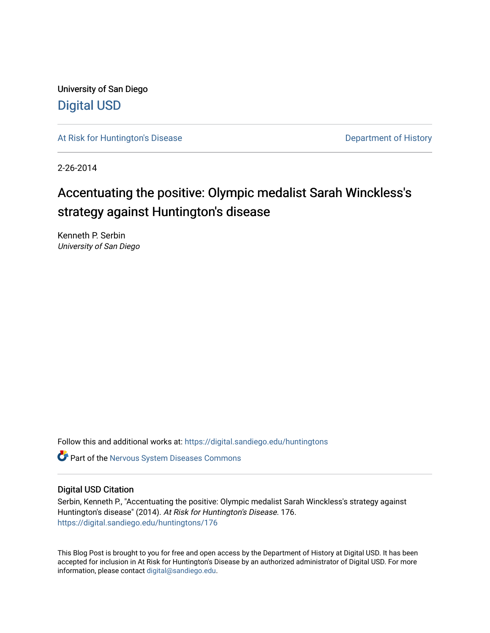University of San Diego [Digital USD](https://digital.sandiego.edu/)

[At Risk for Huntington's Disease](https://digital.sandiego.edu/huntingtons) **Department of History** Department of History

2-26-2014

# Accentuating the positive: Olympic medalist Sarah Winckless's strategy against Huntington's disease

Kenneth P. Serbin University of San Diego

Follow this and additional works at: [https://digital.sandiego.edu/huntingtons](https://digital.sandiego.edu/huntingtons?utm_source=digital.sandiego.edu%2Fhuntingtons%2F176&utm_medium=PDF&utm_campaign=PDFCoverPages)

**C** Part of the [Nervous System Diseases Commons](http://network.bepress.com/hgg/discipline/928?utm_source=digital.sandiego.edu%2Fhuntingtons%2F176&utm_medium=PDF&utm_campaign=PDFCoverPages)

#### Digital USD Citation

Serbin, Kenneth P., "Accentuating the positive: Olympic medalist Sarah Winckless's strategy against Huntington's disease" (2014). At Risk for Huntington's Disease. 176. [https://digital.sandiego.edu/huntingtons/176](https://digital.sandiego.edu/huntingtons/176?utm_source=digital.sandiego.edu%2Fhuntingtons%2F176&utm_medium=PDF&utm_campaign=PDFCoverPages)

This Blog Post is brought to you for free and open access by the Department of History at Digital USD. It has been accepted for inclusion in At Risk for Huntington's Disease by an authorized administrator of Digital USD. For more information, please contact [digital@sandiego.edu.](mailto:digital@sandiego.edu)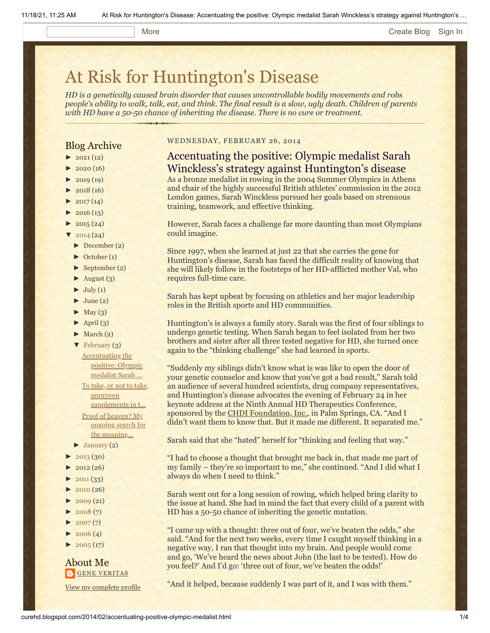#### More **[Create Blog](https://www.blogger.com/home#create) [Sign In](https://www.blogger.com/)**

# [At Risk for Huntington's Disease](http://curehd.blogspot.com/)

*HD is a genetically caused brain disorder that causes uncontrollable bodily movements and robs people's ability to walk, talk, eat, and think. The final result is a slow, ugly death. Children of parents with HD have a 50-50 chance of inheriting the disease. There is no cure or treatment.*

#### Blog Archive

- $\blacktriangleright$  [2021](http://curehd.blogspot.com/2021/)(12)
- $2020(16)$  $2020(16)$
- $2019(19)$  $2019(19)$
- $\blacktriangleright$  [2018](http://curehd.blogspot.com/2018/) (16)
- $2017(14)$  $2017(14)$
- $2016(13)$  $2016(13)$
- $\blacktriangleright$  [2015](http://curehd.blogspot.com/2015/) (24)
- $\frac{1}{2014}$  $\frac{1}{2014}$  $\frac{1}{2014}$  (24)
- [►](javascript:void(0)) [December](http://curehd.blogspot.com/2014/12/) (2)
- [►](javascript:void(0)) [October](http://curehd.blogspot.com/2014/10/) (1)
- [►](javascript:void(0)) [September](http://curehd.blogspot.com/2014/09/) (2)
- $\blacktriangleright$  [August](http://curehd.blogspot.com/2014/08/) (3)
- $\blacktriangleright$  [July](http://curehd.blogspot.com/2014/07/) (1)
- $\blacktriangleright$  [June](http://curehd.blogspot.com/2014/06/) (2)
- $\blacktriangleright$  [May](http://curehd.blogspot.com/2014/05/) (3)
- $\blacktriangleright$  [April](http://curehd.blogspot.com/2014/04/) (3)
- $\blacktriangleright$  [March](http://curehd.blogspot.com/2014/03/) (2)
- [▼](javascript:void(0)) [February](http://curehd.blogspot.com/2014/02/) (3)
	- [Accentuating](http://curehd.blogspot.com/2014/02/accentuating-positive-olympic-medalist.html) the positive: Olympic medalist Sarah ...
- To take, or not to take,

unproven [supplements](http://curehd.blogspot.com/2014/02/to-take-or-not-to-take-unproven.html) in t... Proof of heaven? My ongoing search for the [meaning...](http://curehd.blogspot.com/2014/02/proof-of-heaven-my-ongoing-search-for.html)

- $\blacktriangleright$  [January](http://curehd.blogspot.com/2014/01/) (2)
- [►](javascript:void(0)) [2013](http://curehd.blogspot.com/2013/) (30)
- $2012(26)$  $2012(26)$
- $\blacktriangleright$  [2011](http://curehd.blogspot.com/2011/) (33)
- 
- $\blacktriangleright$  [2010](http://curehd.blogspot.com/2010/) (26)
- $-2009(21)$  $-2009(21)$  $-2009(21)$
- $\blacktriangleright$  [2008](http://curehd.blogspot.com/2008/) (7)
- $2007(7)$  $2007(7)$
- $\blacktriangleright$  [2006](http://curehd.blogspot.com/2006/) (4)
- $\blacktriangleright$  [2005](http://curehd.blogspot.com/2005/) (17)

#### About Me **GENE [VERITAS](https://www.blogger.com/profile/10911736205741688185)**

View my [complete](https://www.blogger.com/profile/10911736205741688185) profile

#### WEDNESDAY, FEBRUARY 26, 2014

### Accentuating the positive: Olympic medalist Sarah Winckless's strategy against Huntington's disease

As a bronze medalist in rowing in the 2004 Summer Olympics in Athens and chair of the highly successful British athletes' commission in the 2012 London games, Sarah Winckless pursued her goals based on strenuous training, teamwork, and effective thinking.

However, Sarah faces a challenge far more daunting than most Olympians could imagine.

Since 1997, when she learned at just 22 that she carries the gene for Huntington's disease, Sarah has faced the difficult reality of knowing that she will likely follow in the footsteps of her HD-afflicted mother Val, who requires full-time care.

Sarah has kept upbeat by focusing on athletics and her major leadership roles in the British sports and HD communities.

Huntington's is always a family story. Sarah was the first of four siblings to undergo genetic testing. When Sarah began to feel isolated from her two brothers and sister after all three tested negative for HD, she turned once again to the "thinking challenge" she had learned in sports.

"Suddenly my siblings didn't know what is was like to open the door of your genetic counselor and know that you've got a bad result," Sarah told an audience of several hundred scientists, drug company representatives, and Huntington's disease advocates the evening of February 24 in her keynote address at the Ninth Annual HD Therapeutics Conference, sponsored by the **CHDI Foundation**, Inc., in Palm Springs, CA. "And I didn't want them to know that. But it made me different. It separated me."

Sarah said that she "hated" herself for "thinking and feeling that way."

"I had to choose a thought that brought me back in, that made me part of my family – they're so important to me," she continued. "And I did what I always do when I need to think."

Sarah went out for a long session of rowing, which helped bring clarity to the issue at hand. She had in mind the fact that every child of a parent with HD has a 50-50 chance of inheriting the genetic mutation.

"I came up with a thought: three out of four, we've beaten the odds," she said. "And for the next two weeks, every time I caught myself thinking in a negative way, I ran that thought into my brain. And people would come and go, 'We've heard the news about John (the last to be tested). How do you feel?' And I'd go: 'three out of four, we've beaten the odds!'

"And it helped, because suddenly I was part of it, and I was with them."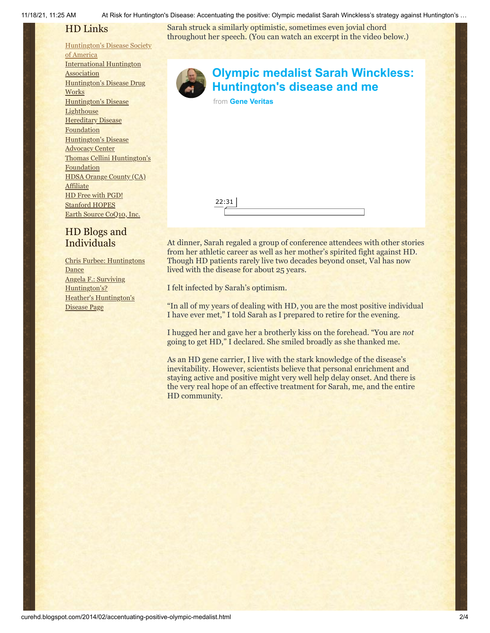11/18/21, 11:25 AM At Risk for Huntington's Disease: Accentuating the positive: Olympic medalist Sarah Winckless's strategy against Huntington's …

## HD Links

#### [Huntington's](http://www.hdsa.org/) Disease Society

of America [International](http://www.huntington-assoc.com/) Huntington **Association** [Huntington's](http://hddrugworks.org/) Disease Drug **Works** [Huntington's](http://www.hdlighthouse.org/) Disease **Lighthouse Hereditary Disease [Foundation](http://www.hdfoundation.org/)** [Huntington's](http://www.hdac.org/) Disease Advocacy Center Thomas [Cellini Huntington's](http://www.ourtchfoundation.org/) **Foundation** HDSA Orange County (CA) **[Affiliate](http://www.hdsaoc.org/)** HD Free with [PGD!](http://www.hdfreewithpgd.com/) [Stanford](http://www.stanford.edu/group/hopes/) HOPES Earth Source [CoQ10,](http://www.escoq10.com/) Inc.

## HD Blogs and Individuals

Chris Furbee: [Huntingtons](http://www.huntingtonsdance.org/) Dance Angela F.: Surviving [Huntington's?](http://survivinghuntingtons.blogspot.com/) Heather's [Huntington's](http://heatherdugdale.angelfire.com/) Disease Page

Sarah struck a similarly optimistic, sometimes even jovial chord throughout her speech. (You can watch an excerpt in the video below.)



## **[Olympic medalist Sarah Winckless:](https://vimeo.com/87915036?embedded=true&source=video_title&owner=6019843) Huntington's disease and me**

from **[Gene Veritas](https://vimeo.com/user6019843?embedded=true&source=owner_name&owner=6019843)**



At dinner, Sarah regaled a group of conference attendees with other stories from her athletic career as well as her mother's spirited fight against HD. Though HD patients rarely live two decades beyond onset, Val has now lived with the disease for about 25 years.

I felt infected by Sarah's optimism.

"In all of my years of dealing with HD, you are the most positive individual I have ever met," I told Sarah as I prepared to retire for the evening.

I hugged her and gave her a brotherly kiss on the forehead. "You are *not* going to get HD," I declared. She smiled broadly as she thanked me.

As an HD gene carrier, I live with the stark knowledge of the disease's inevitability. However, scientists believe that personal enrichment and staying active and positive might very well help delay onset. And there is the very real hope of an effective treatment for Sarah, me, and the entire HD community.